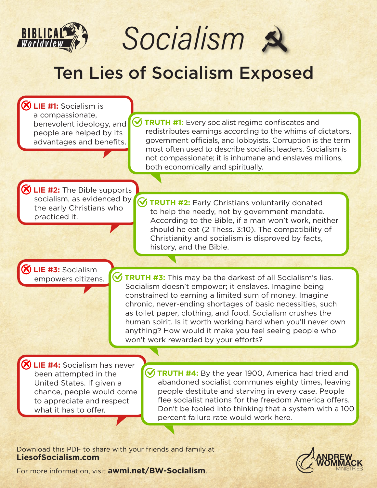

Socialism s

## Ten Lies of Socialism Exposed

**LIE #1:** Socialism is a compassionate, benevolent ideology, and people are helped by its advantages and benefits.

**TRUTH #1:** Every socialist regime confiscates and redistributes earnings according to the whims of dictators, government officials, and lobbyists. Corruption is the term most often used to describe socialist leaders. Socialism is not compassionate; it is inhumane and enslaves millions, both economically and spiritually.

*S* LIE #2: The Bible supports socialism, as evidenced by the early Christians who practiced it.

**V TRUTH #2:** Early Christians voluntarily donated to help the needy, not by government mandate. According to the Bible, if a man won't work, neither should he eat (2 Thess. 3:10). The compatibility of Christianity and socialism is disproved by facts, history, and the Bible.

 **LIE #3:** Socialism

empowers citizens. **W TRUTH #3:** This may be the darkest of all Socialism's lies. Socialism doesn't empower; it enslaves. Imagine being constrained to earning a limited sum of money. Imagine chronic, never-ending shortages of basic necessities, such as toilet paper, clothing, and food. Socialism crushes the human spirit. Is it worth working hard when you'll never own anything? How would it make you feel seeing people who won't work rewarded by your efforts?

 **LIE #4:** Socialism has never been attempted in the United States. If given a chance, people would come to appreciate and respect what it has to offer.

**V TRUTH #4:** By the year 1900, America had tried and abandoned socialist communes eighty times, leaving people destitute and starving in every case. People flee socialist nations for the freedom America offers. Don't be fooled into thinking that a system with a 100 percent failure rate would work here.

Download this PDF to share with your friends and family at **LiesofSocialism.com**



For more information, visit **awmi.net/BW-Socialism**.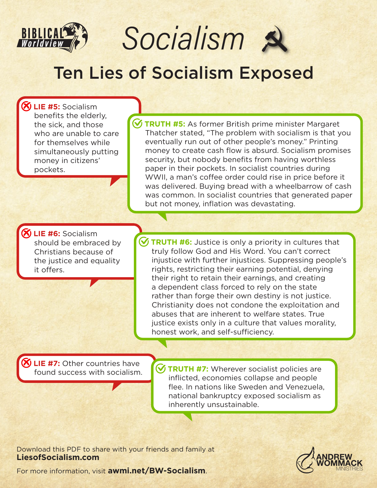

Socialism s

## Ten Lies of Socialism Exposed

 **LIE #5:** Socialism benefits the elderly, the sick, and those who are unable to care for themselves while simultaneously putting money in citizens' pockets.

 **TRUTH #5:** As former British prime minister Margaret Thatcher stated, "The problem with socialism is that you eventually run out of other people's money." Printing money to create cash flow is absurd. Socialism promises security, but nobody benefits from having worthless paper in their pockets. In socialist countries during WWII, a man's coffee order could rise in price before it was delivered. Buying bread with a wheelbarrow of cash was common. In socialist countries that generated paper but not money, inflation was devastating.

**LIE #6:** Socialism should be embraced by Christians because of the justice and equality it offers.

**V TRUTH #6:** Justice is only a priority in cultures that truly follow God and His Word. You can't correct injustice with further injustices. Suppressing people's rights, restricting their earning potential, denying their right to retain their earnings, and creating a dependent class forced to rely on the state rather than forge their own destiny is not justice. Christianity does not condone the exploitation and abuses that are inherent to welfare states. True justice exists only in a culture that values morality, honest work, and self-sufficiency.

 **LIE #7:** Other countries have

**FILM 20 SET SOCIONS TRUTH #7:** Wherever socialist policies are found success with socialism. inflicted, economies collapse and people flee. In nations like Sweden and Venezuela, national bankruptcy exposed socialism as inherently unsustainable.

Download this PDF to share with your friends and family at **LiesofSocialism.com**



For more information, visit **awmi.net/BW-Socialism**.